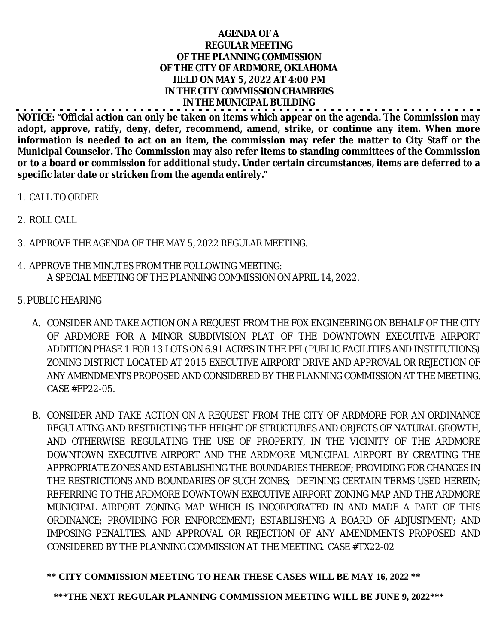## **AGENDA OF A REGULAR MEETING OF THE PLANNING COMMISSION OF THE CITY OF ARDMORE, OKLAHOMA HELD ON MAY 5, 2022 AT 4:00 PM IN THE CITY COMMISSION CHAMBERS IN THE MUNICIPAL BUILDING**

**NOTICE: "Official action can only be taken on items which appear on the agenda. The Commission may adopt, approve, ratify, deny, defer, recommend, amend, strike, or continue any item. When more** information is needed to act on an item, the commission may refer the matter to City Staff or the **Municipal Counselor. The Commission may also refer items to standing committees of the Commission or to a board or commission for additional study. Under certain circumstances, items are deferred to a specific later date or stricken from the agenda entirely."**

- 1. CALL TO ORDER
- 2. ROLL CALL
- 3. APPROVE THE AGENDA OF THE MAY 5, 2022 REGULAR MEETING.
- 4. APPROVE THE MINUTES FROM THE FOLLOWING MEETING: A SPECIAL MEETING OF THE PLANNING COMMISSION ON APRIL 14, 2022.
- 5. PUBLIC HEARING
	- A. CONSIDER AND TAKE ACTION ON A REQUEST FROM THE FOX ENGINEERING ON BEHALF OF THE CITY OF ARDMORE FOR A MINOR SUBDIVISION PLAT OF THE DOWNTOWN EXECUTIVE AIRPORT ADDITION PHASE 1 FOR 13 LOTS ON 6.91 ACRES IN THE PFI (PUBLIC FACILITIES AND INSTITUTIONS) ZONING DISTRICT LOCATED AT 2015 EXECUTIVE AIRPORT DRIVE AND APPROVAL OR REJECTION OF ANY AMENDMENTS PROPOSED AND CONSIDERED BY THE PLANNING COMMISSION AT THE MEETING. CASE #FP22-05.
	- B. CONSIDER AND TAKE ACTION ON A REQUEST FROM THE CITY OF ARDMORE FOR AN ORDINANCE REGULATING AND RESTRICTING THE HEIGHT OF STRUCTURES AND OBJECTS OF NATURAL GROWTH, AND OTHERWISE REGULATING THE USE OF PROPERTY, IN THE VICINITY OF THE ARDMORE DOWNTOWN EXECUTIVE AIRPORT AND THE ARDMORE MUNICIPAL AIRPORT BY CREATING THE APPROPRIATE ZONES AND ESTABLISHING THE BOUNDARIES THEREOF; PROVIDING FOR CHANGES IN THE RESTRICTIONS AND BOUNDARIES OF SUCH ZONES; DEFINING CERTAIN TERMS USED HEREIN; REFERRING TO THE ARDMORE DOWNTOWN EXECUTIVE AIRPORT ZONING MAP AND THE ARDMORE MUNICIPAL AIRPORT ZONING MAP WHICH IS INCORPORATED IN AND MADE A PART OF THIS ORDINANCE; PROVIDING FOR ENFORCEMENT; ESTABLISHING A BOARD OF ADJUSTMENT; AND IMPOSING PENALTIES. AND APPROVAL OR REJECTION OF ANY AMENDMENTS PROPOSED AND CONSIDERED BY THE PLANNING COMMISSION AT THE MEETING. CASE #TX22-02

## **\*\* CITY COMMISSION MEETING TO HEAR THESE CASES WILL BE MAY 16, 2022 \*\***

**\*\*\*THE NEXT REGULAR PLANNING COMMISSION MEETING WILL BE JUNE 9, 2022\*\*\***